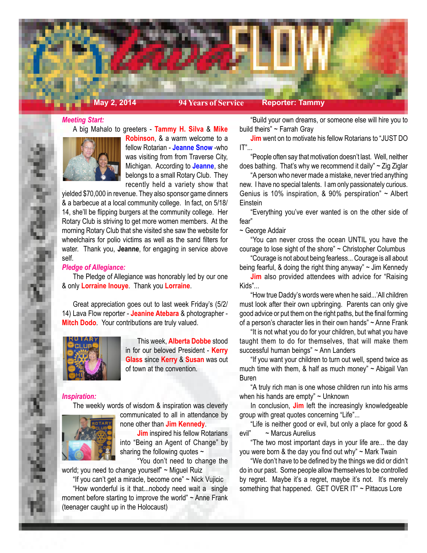

### *Meeting Start:*

A big Mahalo to greeters - **Tammy H. Silva** & **Mike**



**Robinson**, & a warm welcome to a fellow Rotarian - **Jeanne Snow** -who was visiting from from Traverse City, Michigan. According to **Jeanne**, she belongs to a small Rotary Club. They recently held a variety show that

yielded \$70,000 in revenue. They also sponsor game dinners & a barbecue at a local community college. In fact, on 5/18/ 14, she'll be flipping burgers at the community college. Her Rotary Club is striving to get more women members. At the morning Rotary Club that she visited she saw the website for wheelchairs for polio victims as well as the sand filters for water. Thank you, **Jeanne**, for engaging in service above self.

### *Pledge of Allegiance:*

The Pledge of Allegiance was honorably led by our one & only **Lorraine Inouye**. Thank you **Lorraine**.

Great appreciation goes out to last week Friday's (5/2/ 14) Lava Flow reporter - **Jeanine Atebara** & photographer - **Mitch Dodo**. Your contributions are truly valued.



This week, **Alberta Dobbe** stood in for our beloved President - **Kerry Glass** since **Kerry** & **Susan** was out of town at the convention.

### *Inspiration:*

The weekly words of wisdom & inspiration was cleverly



communicated to all in attendance by none other than **Jim Kennedy**. **Jim** inspired his fellow Rotarians

into "Being an Agent of Change" by sharing the following quotes ~

"You don't need to change the world; you need to change yourself" ~ Miguel Ruiz

"If you can't get a miracle, become one" ~ Nick Vujicic "How wonderful is it that...nobody need wait a single moment before starting to improve the world" ~ Anne Frank (teenager caught up in the Holocaust)

"Build your own dreams, or someone else will hire you to build theirs" ~ Farrah Gray

**Jim** went on to motivate his fellow Rotarians to "JUST DO  $IT$ "...

"People often say that motivation doesn't last. Well, neither does bathing. That's why we recommend it daily" ~ Zig Ziglar

"A person who never made a mistake, never tried anything new. I have no special talents. I am only passionately curious. Genius is 10% inspiration, & 90% perspiration" ~ Albert **Einstein** 

"Everything you've ever wanted is on the other side of fear"

~ George Addair

"You can never cross the ocean UNTIL you have the courage to lose sight of the shore" ~ Christopher Columbus

"Courage is not about being fearless... Courage is all about being fearful, & doing the right thing anyway"  $\sim$  Jim Kennedy

**Jim** also provided attendees with advice for "Raising Kids"...

"How true Daddy's words were when he said...'All children must look after their own upbringing. Parents can only give good advice or put them on the right paths, but the final forming of a person's character lies in their own hands" ~ Anne Frank

"It is not what you do for your children, but what you have taught them to do for themselves, that will make them successful human beings" ~ Ann Landers

"If you want your children to turn out well, spend twice as much time with them, & half as much money"  $\sim$  Abigail Van Buren

"A truly rich man is one whose children run into his arms when his hands are empty" ~ Unknown

In conclusion, **Jim** left the increasingly knowledgeable group with great quotes concerning "Life"...

"Life is neither good or evil, but only a place for good & evil" ~ Marcus Aurelius

"The two most important days in your life are... the day you were born & the day you find out why" ~ Mark Twain

"We don't have to be defined by the things we did or didn't do in our past. Some people allow themselves to be controlled by regret. Maybe it's a regret, maybe it's not. It's merely something that happened. GET OVER IT" ~ Pittacus Lore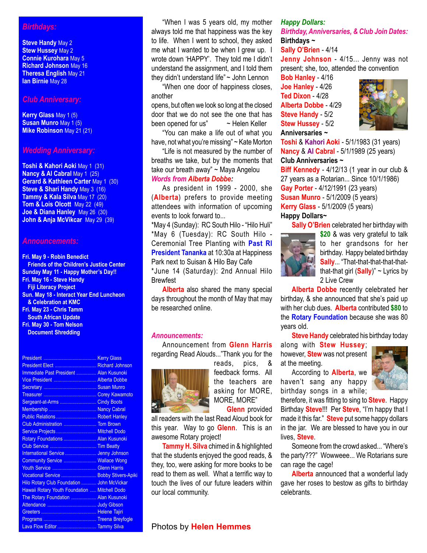### *Birthdays:*

**Steve Handy May 2 Stew Hussey May 2 Connie Kurohara** May 5 **Richard Johnson** May 16 **Theresa English** May 21 **Ian Birnie** May 28

### *Club Anniversary:*

**Kerry Glass** May 1 (5) **Susan Munro** May 1 (5) **Mike Robinson** May 21 (21)

# *Wedding Anniversary:*

**Toshi & Kahori Aoki** May 1 (31) **Nancy & Al Cabral May 1 (25) Gerard & Kathleen Carter May 1 (30) Steve & Shari Handy May 3 (16) Tammy & Kala Silva** May 17 (20) **Tom & Lois Olcott** May 22 (49) **Joe & Diana Hanley** May 26 (30) **John & Anja McVikcar** May 29 (39)

### *Announcements:*

**Fri. May 9 - Robin Benedict Friends of the Children's Justice Center Sunday May 11 - Happy Mother's Day!! Fri. May 16 - Steve Handy Fiji Literacy Project Sun. May 18 - Interact Year End Luncheon & Celebration at KMC Fri. May 23 - Chris Tamm South African Update Fri. May 30 - Tom Nelson**

**Document Shredding**

| President Elect  Richard Johnson              |  |
|-----------------------------------------------|--|
| Immediate Past President  Alan Kusunoki       |  |
|                                               |  |
|                                               |  |
|                                               |  |
| Sergeant-at-Arms  Cindy Boots                 |  |
|                                               |  |
| Public Relations  Robert Hanley               |  |
| Club Administration  Tom Brown                |  |
| Service Projects  Mitchell Dodo               |  |
| Rotary Foundations  Alan Kusunoki             |  |
|                                               |  |
| International Service  Jenny Johnson          |  |
| Community Service  Wallace Wong               |  |
|                                               |  |
| Vocational Service  Bobby Stivers-Apiki       |  |
| Hilo Rotary Club Foundation  John McVickar    |  |
| Hawaii Rotary Youth Foundation  Mitchell Dodo |  |
| The Rotary Foundation  Alan Kusunoki          |  |
|                                               |  |
|                                               |  |
|                                               |  |
| Lava Flow Editor  Tammy Silva                 |  |

"When I was 5 years old, my mother always told me that happiness was the key to life. When I went to school, they asked me what I wanted to be when I grew up. I wrote down 'HAPPY'. They told me I didn't understand the assignment, and I told them they didn't understand life" ~ John Lennon

"When one door of happiness closes, another

opens, but often we look so long at the closed door that we do not see the one that has been opened for us" ~ Helen Keller

"You can make a life out of what you have, not what you're missing" ~ Kate Morton

"Life is not measured by the number of breaths we take, but by the moments that take our breath away" ~ Maya Angelou *Words from Alberta Dobbe:*

As president in 1999 - 2000, she (**Alberta**) prefers to provide meeting attendees with information of upcoming events to look forward to...

\*May 4 (Sunday): RC South Hilo - "Hilo Huli" \*May 6 (Tuesday): RC South Hilo - Ceremonial Tree Planting with **Past RI President Tananka** at 10:30a at Happiness Park next to Suisan & Hilo Bay Cafe

\*June 14 (Saturday): 2nd Annual Hilo Brewfest

**Alberta** also shared the many special days throughout the month of May that may be researched online.

### *Announcements:*

Announcement from **Glenn Harris** regarding Read Alouds..."Thank you for the



reads, pics, & feedback forms. All the teachers are asking for MORE, MORE, MORE" **Glenn** provided

all readers with the last Read Aloud book for this year. Way to go **Glenn**. This is an awesome Rotary project!

**Tammy H. Silva** chimed in & highlighted that the students enjoyed the good reads, & they, too, were asking for more books to be read to them as well. What a terrific way to touch the lives of our future leaders within our local community.

*Happy Dollars: Birthday, Anniversaries, & Club Join Dates:* **Birthdays ~**

# **Sally O'Brien** - 4/14

**Jenny Johnson** - 4/15... Jenny was not present; she, too, attended the convention

**Bob Hanley** - 4/16 **Joe Hanley** - 4/26 **Ted Dixon** - 4/28 **Alberta Dobbe** - 4/29 **Steve Handy** - 5/2 **Stew Hussey** - 5/2 **Anniversaries ~**



**Toshi** & **Kahori Aoki** - 5/1/1983 (31 years) **Nancy** & **Al Cabral** - 5/1/1989 (25 years) **Club Anniversaries ~**

**Biff Kennedy** - 4/12/13 (1 year in our club & 27 years as a Rotarian... Since 10/1/1986) **Gay Porter** - 4/12/1991 (23 years) **Susan Munro** - 5/1/2009 (5 years) **Kerry Glass** - 5/1/2009 (5 years) **Happy Dollars~**

**Sally O'Brien** celebrated her birthday with



**\$20** & was very grateful to talk to her grandsons for her birthday. Happy belated birthday **Sally...** "That-that-that-that-thatthat-that girl (**Sally**)" ~ Lyrics by 2 Live Crew

**Alberta Dobbe** recently celebrated her birthday, & she announced that she's paid up with her club dues. **Alberta** contributed **\$80** to the **Rotary Foundation** because she was 80 years old.

**Steve Handy** celebrated his birthday today

along with **Stew Hussey**; however, **Stew** was not present at the meeting.

According to **Alberta**, we haven't sang any happy birthday songs in a while;



therefore, it was fitting to sing to **Steve**. Happy Birthday **Steve**!!! Per **Steve**, "I'm happy that I made it this far." **Steve** put some happy dollars in the jar. We are blessed to have you in our lives, **Steve**.

Someone from the crowd asked... "Where's the party???" Wowweee... We Rotarians sure can rage the cage!

**Alberta** announced that a wonderful lady gave her roses to bestow as gifts to birthday celebrants.

Photos by **Helen Hemmes**